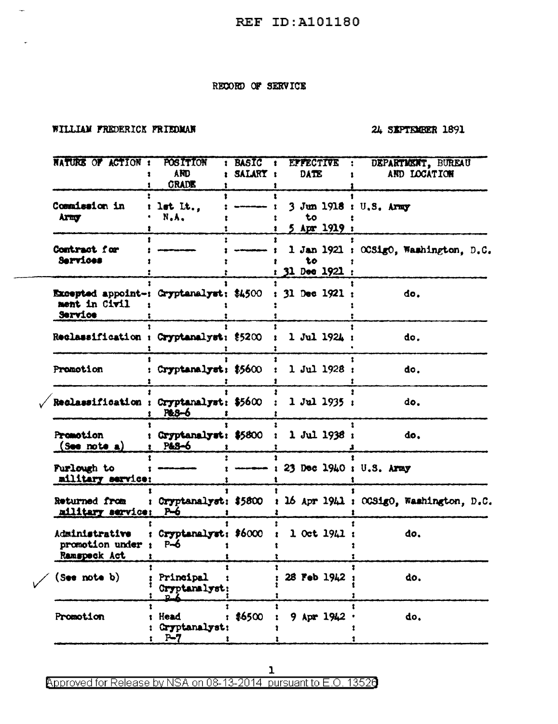## RECORD OF SERVICE

### WILLIAM FREDERICK FRIEDMAN

 $\overline{\phantom{a}}$ 

## 24 SEPTEMBER 1891

| NATURE OF ACTION :                                                  | <b>POSITION</b><br>AND.<br><b>GRADE</b> | <b>BASIC</b><br>- 1<br>SALARY : | <b>EFFECTIVE</b><br>DATE                      | DEPARTMENT, BUREAU<br>٠.<br>AND LOCATION                      |
|---------------------------------------------------------------------|-----------------------------------------|---------------------------------|-----------------------------------------------|---------------------------------------------------------------|
| Commission in<br><b>Army</b>                                        | let $It.,$<br>N.A.                      |                                 | 3 Jun 1918 : U.S. Army<br>to<br>$5$ Apr 1919; |                                                               |
| Contract for<br>Services                                            |                                         |                                 | to<br>$: 31$ Dec 1921 :                       | 1 Jan 1921 : OCSigO, Washington, D.C.                         |
| Excepted appoint-: Gryptanalyst: \$4500<br>ment in Civil<br>Service |                                         |                                 | $: 31$ Dec 1921;                              | do.                                                           |
| Reclassification : Cryptanalyst: \$5200                             |                                         |                                 | $1$ Jul 1924;                                 | do.                                                           |
| Promotion                                                           | : Cryptanalyst: \$5600                  |                                 | 1 Jul 1928:                                   | do.                                                           |
| Reclassification : Cryptanalyst: \$5600                             | P&3-6                                   |                                 | $1$ Jul 1935:                                 | do.                                                           |
| <b>Promotion</b><br>(sos note a)                                    | Cryptanalyst: \$5800 :<br>P&8-6         |                                 | 1 Jul 1938 :                                  | do.                                                           |
| Purlough to<br>military service:                                    |                                         |                                 | $----: 23$ Dec 1940 : U.S. Army               |                                                               |
| Returned from<br>military service:                                  | P <del>-</del> 6                        |                                 |                                               | Cryptanalyst: \$5800 : 16 Apr 1941 : OCSigO, Washington, D.C. |
| Administrative<br>promotion under :<br>Ramspeck Act                 | Cryptanalyst: \$6000<br>$P-6$           |                                 | $1$ Oct $1941:$                               | do.                                                           |
| (s <sub>ee</sub> not <sub>e</sub> b)                                | Principal<br>Cryptanalyst:              |                                 | 28 Feb 1942                                   | do.                                                           |
| Promotion                                                           | <b>Head</b><br>Cryptanalyst:<br>$P - 7$ | \$6500                          | 9 Apr 1942                                    | do.                                                           |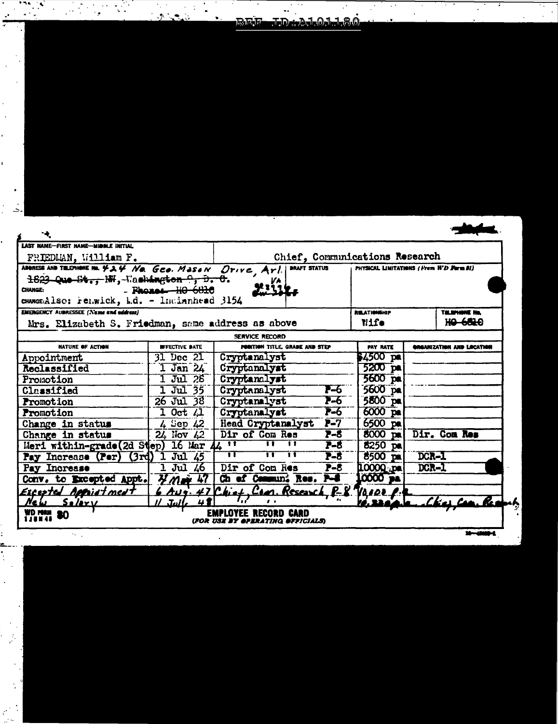|       |  | 3 . Call |  |                  | . . |  |  |
|-------|--|----------|--|------------------|-----|--|--|
| and i |  |          |  | REF JDA ALOJ 180 |     |  |  |
|       |  |          |  |                  |     |  |  |
|       |  |          |  |                  |     |  |  |
|       |  |          |  |                  |     |  |  |
|       |  |          |  |                  |     |  |  |
|       |  |          |  |                  |     |  |  |
|       |  |          |  |                  |     |  |  |
|       |  |          |  |                  |     |  |  |
|       |  |          |  |                  |     |  |  |
|       |  |          |  |                  |     |  |  |

 $\frac{1}{2}$ 

 $\ddot{\phantom{0}}$ 

 $\ddot{\cdot}$ 

andron<br>List

| ADDRESS AND TILEPHONE No. 424 No. Geo. Mason Drive, Arl.<br><b>DRAFT STATUS</b><br>PHYSICAL LIMITATIONS (From H'D Form 81)<br>1823 Que St., NH, Washington 9, D. C.<br>$-$ Phones $ H0$ $ 6810$<br>CHANGE:<br>CHANGE:Also: renwick, b.d. - Incianhead 3154<br><b>EMERGENCY AUDRESSEE (Name and address)</b><br><b>RELATIONSHIP</b><br><b>THE SPLANNE NA</b><br>Wife<br>Mrs. Elizabeth S. Friedman, same address as above<br>SERVICE RECORD<br><b>EFFECTIVE DATE</b><br><b>PORTION TITLE, GRADE AND STEP</b><br><b>PAY RATE</b><br>NATURE OF ACTION<br>GRAANIZATION AND LOCATION<br>Cryptanalyst<br>\$4500 pa<br>$31$ Dec $21$<br>Appointment<br>1 Jan 24 Cryptanalyst<br>1 Jul 28 Cryptanalyst<br>$5200$ pa<br>Reclassified<br>5600 pa<br>Promotion<br>5600 pa<br>$7-6$<br>1 Jul 35   Cryptanalyst<br>Classified<br>$7 - 6$<br>$5800$ pa<br>26 Jul 38 Cryptanalyst<br><b>Promotion</b><br>6000 p<br>1 Oct 21 Cryptanalyst<br>4 Sep 22 Head Cryptanalyst P-7<br>24 Nov 22 Dir of Com Res P-8<br><b>Promotion</b><br>$6500$ pa<br>Change in status<br>Dir. Com Res<br>$P-8$<br>8000 pa<br>Change in status<br>Meri within-grade (2d Step) 16 Mar 44 ''<br>тг<br>П<br>$P-8$<br>$\overline{8250}$ pal<br>$\mathbf{u}^-$<br>π<br>11<br>8500 pa DCR-1<br>Pay Increase (Per) (3rd) 1 Jul 45<br>$P-8$<br>DCR-1<br>$1$ Jul 46<br>10000<br>Dir of Com Res<br>$P-8$<br>Pay Increase |                |
|--------------------------------------------------------------------------------------------------------------------------------------------------------------------------------------------------------------------------------------------------------------------------------------------------------------------------------------------------------------------------------------------------------------------------------------------------------------------------------------------------------------------------------------------------------------------------------------------------------------------------------------------------------------------------------------------------------------------------------------------------------------------------------------------------------------------------------------------------------------------------------------------------------------------------------------------------------------------------------------------------------------------------------------------------------------------------------------------------------------------------------------------------------------------------------------------------------------------------------------------------------------------------------------------------------------------------------------------------------------------------|----------------|
|                                                                                                                                                                                                                                                                                                                                                                                                                                                                                                                                                                                                                                                                                                                                                                                                                                                                                                                                                                                                                                                                                                                                                                                                                                                                                                                                                                          |                |
|                                                                                                                                                                                                                                                                                                                                                                                                                                                                                                                                                                                                                                                                                                                                                                                                                                                                                                                                                                                                                                                                                                                                                                                                                                                                                                                                                                          |                |
|                                                                                                                                                                                                                                                                                                                                                                                                                                                                                                                                                                                                                                                                                                                                                                                                                                                                                                                                                                                                                                                                                                                                                                                                                                                                                                                                                                          |                |
|                                                                                                                                                                                                                                                                                                                                                                                                                                                                                                                                                                                                                                                                                                                                                                                                                                                                                                                                                                                                                                                                                                                                                                                                                                                                                                                                                                          | <b>HO-6620</b> |
|                                                                                                                                                                                                                                                                                                                                                                                                                                                                                                                                                                                                                                                                                                                                                                                                                                                                                                                                                                                                                                                                                                                                                                                                                                                                                                                                                                          |                |
|                                                                                                                                                                                                                                                                                                                                                                                                                                                                                                                                                                                                                                                                                                                                                                                                                                                                                                                                                                                                                                                                                                                                                                                                                                                                                                                                                                          |                |
|                                                                                                                                                                                                                                                                                                                                                                                                                                                                                                                                                                                                                                                                                                                                                                                                                                                                                                                                                                                                                                                                                                                                                                                                                                                                                                                                                                          |                |
|                                                                                                                                                                                                                                                                                                                                                                                                                                                                                                                                                                                                                                                                                                                                                                                                                                                                                                                                                                                                                                                                                                                                                                                                                                                                                                                                                                          |                |
|                                                                                                                                                                                                                                                                                                                                                                                                                                                                                                                                                                                                                                                                                                                                                                                                                                                                                                                                                                                                                                                                                                                                                                                                                                                                                                                                                                          |                |
|                                                                                                                                                                                                                                                                                                                                                                                                                                                                                                                                                                                                                                                                                                                                                                                                                                                                                                                                                                                                                                                                                                                                                                                                                                                                                                                                                                          |                |
|                                                                                                                                                                                                                                                                                                                                                                                                                                                                                                                                                                                                                                                                                                                                                                                                                                                                                                                                                                                                                                                                                                                                                                                                                                                                                                                                                                          |                |
|                                                                                                                                                                                                                                                                                                                                                                                                                                                                                                                                                                                                                                                                                                                                                                                                                                                                                                                                                                                                                                                                                                                                                                                                                                                                                                                                                                          |                |
|                                                                                                                                                                                                                                                                                                                                                                                                                                                                                                                                                                                                                                                                                                                                                                                                                                                                                                                                                                                                                                                                                                                                                                                                                                                                                                                                                                          |                |
|                                                                                                                                                                                                                                                                                                                                                                                                                                                                                                                                                                                                                                                                                                                                                                                                                                                                                                                                                                                                                                                                                                                                                                                                                                                                                                                                                                          |                |
|                                                                                                                                                                                                                                                                                                                                                                                                                                                                                                                                                                                                                                                                                                                                                                                                                                                                                                                                                                                                                                                                                                                                                                                                                                                                                                                                                                          |                |
|                                                                                                                                                                                                                                                                                                                                                                                                                                                                                                                                                                                                                                                                                                                                                                                                                                                                                                                                                                                                                                                                                                                                                                                                                                                                                                                                                                          |                |
|                                                                                                                                                                                                                                                                                                                                                                                                                                                                                                                                                                                                                                                                                                                                                                                                                                                                                                                                                                                                                                                                                                                                                                                                                                                                                                                                                                          |                |
| Conv. to Excepted Appt. 7 May 47 Ch of Commun: Res. P-8<br><b>0000 pa</b>                                                                                                                                                                                                                                                                                                                                                                                                                                                                                                                                                                                                                                                                                                                                                                                                                                                                                                                                                                                                                                                                                                                                                                                                                                                                                                |                |
| 6 Aug. 47 Chief, Cean. Research, P-8. Vasce p.<br>Excepted Applietment                                                                                                                                                                                                                                                                                                                                                                                                                                                                                                                                                                                                                                                                                                                                                                                                                                                                                                                                                                                                                                                                                                                                                                                                                                                                                                   |                |
| $11$ Jule<br>New Salary                                                                                                                                                                                                                                                                                                                                                                                                                                                                                                                                                                                                                                                                                                                                                                                                                                                                                                                                                                                                                                                                                                                                                                                                                                                                                                                                                  | ke Can. Rea    |
| <b>WD MAH 80</b><br><b>EMPLOYEE RECORD CARD</b><br>(FOR USE BY OPERATING OFFICIALS)                                                                                                                                                                                                                                                                                                                                                                                                                                                                                                                                                                                                                                                                                                                                                                                                                                                                                                                                                                                                                                                                                                                                                                                                                                                                                      |                |
|                                                                                                                                                                                                                                                                                                                                                                                                                                                                                                                                                                                                                                                                                                                                                                                                                                                                                                                                                                                                                                                                                                                                                                                                                                                                                                                                                                          |                |
|                                                                                                                                                                                                                                                                                                                                                                                                                                                                                                                                                                                                                                                                                                                                                                                                                                                                                                                                                                                                                                                                                                                                                                                                                                                                                                                                                                          |                |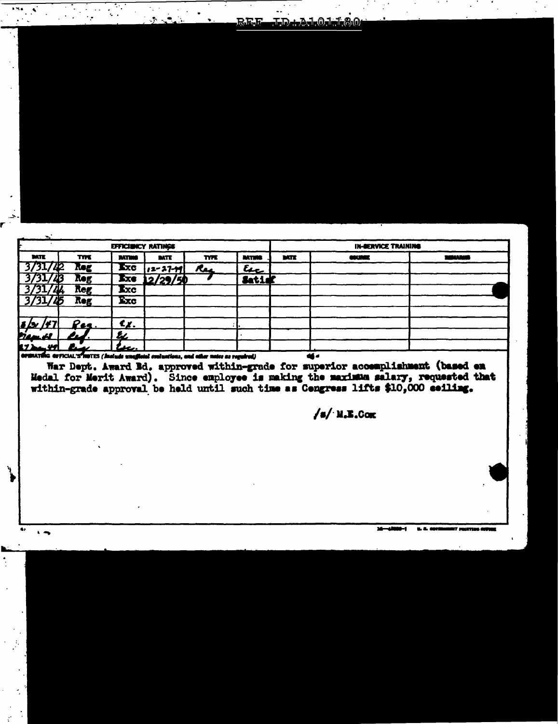|  | 222<br>$\mathbf{u}$ . | REE LD Add Od 180 |  |
|--|-----------------------|-------------------|--|
|  |                       |                   |  |
|  |                       |                   |  |
|  |                       |                   |  |
|  |                       |                   |  |
|  |                       |                   |  |
|  |                       |                   |  |
|  |                       |                   |  |
|  |                       |                   |  |

|                                                                                                                                                                                                                                                                                                     |             | EFFICIENCY RATINGS |                  |      |               |            | <b>IN-BERVICE TRAINING</b>                                                        |  |  |  |
|-----------------------------------------------------------------------------------------------------------------------------------------------------------------------------------------------------------------------------------------------------------------------------------------------------|-------------|--------------------|------------------|------|---------------|------------|-----------------------------------------------------------------------------------|--|--|--|
| <b>DATE</b>                                                                                                                                                                                                                                                                                         | <b>TYPE</b> | <b>MTM</b>         | <b>BATE</b>      | TYPE | <b>BATTER</b> | <b>MTE</b> | يرقي بع                                                                           |  |  |  |
| 3/31/42                                                                                                                                                                                                                                                                                             | <b>Reg</b>  | <b>Exc</b>         | $ 12 - 27 - 19 $ | Rec  | لمعو          |            |                                                                                   |  |  |  |
| 3/31/43                                                                                                                                                                                                                                                                                             | <b>Reg</b>  |                    | Exe $12/29/50$   |      | Satid         |            |                                                                                   |  |  |  |
| 3/31/44                                                                                                                                                                                                                                                                                             | Reg         | <b>Ixc</b>         |                  |      |               |            |                                                                                   |  |  |  |
| 3/31/45                                                                                                                                                                                                                                                                                             | Reg         | Exc                |                  |      |               |            |                                                                                   |  |  |  |
|                                                                                                                                                                                                                                                                                                     |             |                    |                  |      |               |            |                                                                                   |  |  |  |
| <u>s (s /47 </u>                                                                                                                                                                                                                                                                                    | <u>Pes.</u> | €x.                |                  |      |               |            |                                                                                   |  |  |  |
| <u>Man bl</u>                                                                                                                                                                                                                                                                                       | LL.         | r.                 |                  |      |               |            |                                                                                   |  |  |  |
|                                                                                                                                                                                                                                                                                                     |             | lu.                |                  |      |               |            |                                                                                   |  |  |  |
|                                                                                                                                                                                                                                                                                                     |             |                    |                  |      |               |            |                                                                                   |  |  |  |
|                                                                                                                                                                                                                                                                                                     |             |                    |                  |      |               |            |                                                                                   |  |  |  |
| $17$ and $10$<br>OFSRATTIG OFFICIAL'S NOTES (Include unafficial contuntions, and other notes as regulred)<br><b>ali 4</b><br>War Dept. Award Ed. approved within-grade for superior accemplishment (based en<br>Medal for Merit Award). Since employee is making the maximum salary, requested that |             |                    |                  |      |               |            |                                                                                   |  |  |  |
|                                                                                                                                                                                                                                                                                                     |             |                    |                  |      |               |            | within-grade approval be held until such time as Cengress lifts \$10,000 eeiling. |  |  |  |

 $/a$ / M.E.Com

 $\mathcal{L}_{\text{max}}$  and  $\mathcal{L}_{\text{max}}$ 

 $\ddot{\phantom{1}}$ 

ý

 $\bullet$ 

 $16 - 4000 - 1$  $9.8.1$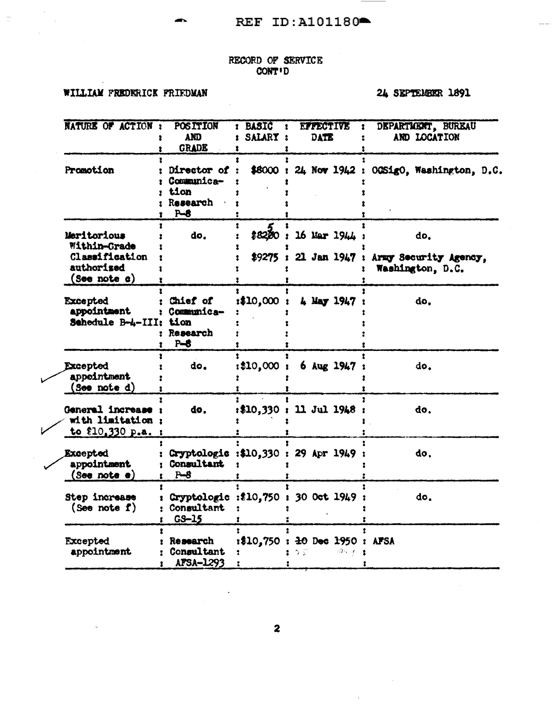# RECORD OF SERVICE<br>CONT'D

# WILLIAM FREDERICK FRIEDMAN

# 24 SEPTEMBER 1891

|                 | NATURE OF ACTION :                                                          | <b>POSITION</b><br><b>AND</b><br><b>GRADE</b>          | BASIC :<br>SALARY: | <b>EFFECTIVE</b><br>1<br><b>DATE</b>                   | DEPARTMENT, BUREAU<br>AND LOCATION                                    |
|-----------------|-----------------------------------------------------------------------------|--------------------------------------------------------|--------------------|--------------------------------------------------------|-----------------------------------------------------------------------|
| Promotion       |                                                                             | Director of<br>Communica-<br>tion<br>Research<br>$P-8$ |                    |                                                        | \$8000: 24 Nov 1942: 00Sig0, Washington, D.C.                         |
|                 | Meritorious<br>Within-Grade<br>Classification<br>authorised<br>(See note c) | do.                                                    | \$82,00            | 16 Mar 1944 :                                          | do.<br>\$9275: 21 Jan 1947: Army Security Agency,<br>Washington, D.C. |
| <b>Excepted</b> | appointment<br>Schedule B-4-III: tion                                       | Chief of<br>: Communica-<br>: Research<br>$P - 8$      | :\$10,000          | 4 May 1947                                             | do.                                                                   |
| Excepted        | appeintment<br>(See note d)                                                 | do.                                                    | : \$10,000 :       | $6$ Aug 1947                                           | do.                                                                   |
|                 | General increase :<br>with limitation;<br>to \$10,330 p.a. :                | do.                                                    |                    | $: $10,330 : 11$ Jul 1948 :                            | do.                                                                   |
| <b>Excepted</b> | appointment<br>(See note e)                                                 | <b>Consultant</b><br>$P-8$                             |                    | Cryptologic :\$10,330 : 29 Apr 1949 :                  | do.                                                                   |
|                 | Step increase<br>(See note $f$ )                                            | Consultant<br>$G-S-15$                                 |                    | Cryptologic :\$10,750 : 30 Oct 1949                    | do.                                                                   |
| Excepted        | appointment                                                                 | Research<br>Consultant<br>AFSA-1293                    |                    | :\$10,750 : $\pm$ 0 Dec $\pm$ 950 : AFSA<br>29.5<br>うぶ |                                                                       |

 $\overline{\mathbf{z}}$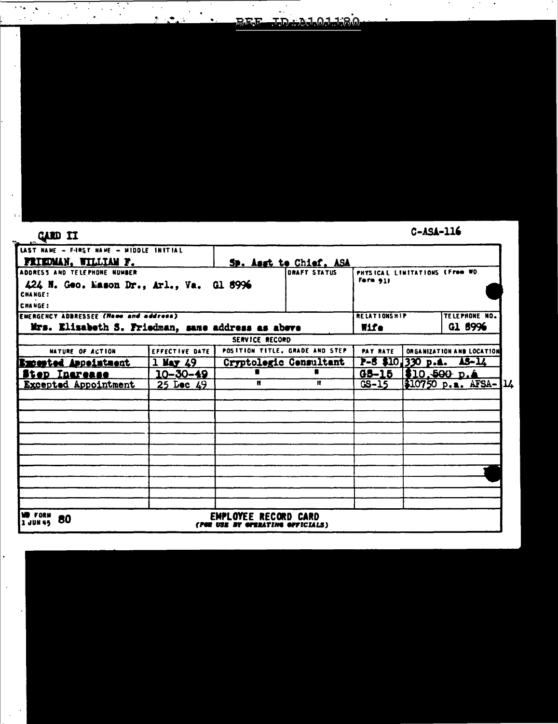| <u>REE ID ALOI 180 </u> |  |  |  |
|-------------------------|--|--|--|
|                         |  |  |  |

 $\mathbb{R}^3$ 

 $\bullet$ 

| <b>GARD II</b>                                                                                               |                |                                                        |                        |                                             | $C-ASA-116$ |                           |
|--------------------------------------------------------------------------------------------------------------|----------------|--------------------------------------------------------|------------------------|---------------------------------------------|-------------|---------------------------|
| LAST NAME - F-IRST NAME - MIDDLE INITIAL<br><b>FRIEDMAN, WILLIAM F.</b>                                      |                |                                                        | Sp. Asst to Chief. ASA |                                             |             |                           |
| ADDRESS AND TELEPHONE NUMBER<br>424 N. Geo. Mason Dr., Arl., Va. Gl 8996<br><b>CHANGE:</b><br><b>CHANGE:</b> |                |                                                        | <b>DRAFT STATUS</b>    | PHYSICAL LIMITATIONS (From WD<br>Form $911$ |             |                           |
| <b>EMERGENCY ADDRESSEE (Name and address)</b>                                                                |                |                                                        |                        | <b>RELATIONSHIP</b>                         |             | TELEPHONE NO.             |
| Mrs. Elizabeth S. Friedman, same address as abeve                                                            |                |                                                        |                        | Wife                                        |             | G1 8996                   |
|                                                                                                              |                | <b>SERVICE RECORD</b>                                  |                        |                                             |             |                           |
| NATURE OF ACTION                                                                                             | EFFECTIVE DATE | POSITION TITLE, GRADE AND STEP                         |                        | PAY RATE                                    |             | ORGANIZATION AND LOCATION |
| Excepted Appeintment                                                                                         | $1$ May $49$   |                                                        | Cryptologic Consultant |                                             |             | $P-5$ \$10,330 p.a. AS-14 |
| <u>itep Inerease</u>                                                                                         | 10-30-49       |                                                        |                        | $G5 - 15$                                   | 310,500 p.4 |                           |
| <b>Excepted Appointment</b>                                                                                  | 25 Lec 49      | n                                                      | Ħ                      | GS-15                                       |             | $310750 p.a. AFSA-14$     |
|                                                                                                              |                |                                                        |                        |                                             |             |                           |
|                                                                                                              |                |                                                        |                        |                                             |             |                           |
|                                                                                                              |                |                                                        |                        |                                             |             |                           |
|                                                                                                              |                |                                                        |                        |                                             |             |                           |
|                                                                                                              |                |                                                        |                        |                                             |             |                           |
|                                                                                                              |                |                                                        |                        |                                             |             |                           |
| WD FORM<br>80<br>130845                                                                                      | ree use        | <b>EMPLOYEE RECORD CARD</b><br>BY GPERATING GPFICIALS) |                        |                                             |             |                           |